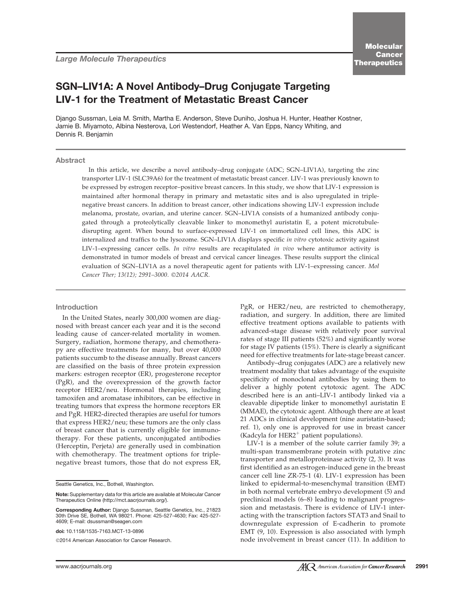# SGN–LIV1A: A Novel Antibody–Drug Conjugate Targeting LIV-1 for the Treatment of Metastatic Breast Cancer

Django Sussman, Leia M. Smith, Martha E. Anderson, Steve Duniho, Joshua H. Hunter, Heather Kostner, Jamie B. Miyamoto, Albina Nesterova, Lori Westendorf, Heather A. Van Epps, Nancy Whiting, and Dennis R. Benjamin

# **Abstract**

In this article, we describe a novel antibody–drug conjugate (ADC; SGN–LIV1A), targeting the zinc transporter LIV-1 (SLC39A6) for the treatment of metastatic breast cancer. LIV-1 was previously known to be expressed by estrogen receptor–positive breast cancers. In this study, we show that LIV-1 expression is maintained after hormonal therapy in primary and metastatic sites and is also upregulated in triplenegative breast cancers. In addition to breast cancer, other indications showing LIV-1 expression include melanoma, prostate, ovarian, and uterine cancer. SGN–LIV1A consists of a humanized antibody conjugated through a proteolytically cleavable linker to monomethyl auristatin E, a potent microtubuledisrupting agent. When bound to surface-expressed LIV-1 on immortalized cell lines, this ADC is internalized and traffics to the lysozome. SGN–LIV1A displays specific in vitro cytotoxic activity against LIV-1–expressing cancer cells. In vitro results are recapitulated in vivo where antitumor activity is demonstrated in tumor models of breast and cervical cancer lineages. These results support the clinical evaluation of SGN–LIV1A as a novel therapeutic agent for patients with LIV-1–expressing cancer. Mol Cancer Ther; 13(12); 2991-3000. 2014 AACR.

#### Introduction

In the United States, nearly 300,000 women are diagnosed with breast cancer each year and it is the second leading cause of cancer-related mortality in women. Surgery, radiation, hormone therapy, and chemotherapy are effective treatments for many, but over 40,000 patients succumb to the disease annually. Breast cancers are classified on the basis of three protein expression markers: estrogen receptor (ER), progesterone receptor (PgR), and the overexpression of the growth factor receptor HER2/neu. Hormonal therapies, including tamoxifen and aromatase inhibitors, can be effective in treating tumors that express the hormone receptors ER and PgR. HER2-directed therapies are useful for tumors that express HER2/neu; these tumors are the only class of breast cancer that is currently eligible for immunotherapy. For these patients, unconjugated antibodies (Herceptin, Perjeta) are generally used in combination with chemotherapy. The treatment options for triplenegative breast tumors, those that do not express ER,

Seattle Genetics, Inc., Bothell, Washington.

doi: 10.1158/1535-7163.MCT-13-0896

2014 American Association for Cancer Research.

PgR, or HER2/neu, are restricted to chemotherapy, radiation, and surgery. In addition, there are limited effective treatment options available to patients with advanced-stage disease with relatively poor survival rates of stage III patients (52%) and significantly worse for stage IV patients (15%). There is clearly a significant need for effective treatments for late-stage breast cancer.

Antibody–drug conjugates (ADC) are a relatively new treatment modality that takes advantage of the exquisite specificity of monoclonal antibodies by using them to deliver a highly potent cytotoxic agent. The ADC described here is an anti–LIV-1 antibody linked via a cleavable dipeptide linker to monomethyl auristatin E (MMAE), the cytotoxic agent. Although there are at least 21 ADCs in clinical development (nine auristatin-based; ref. 1), only one is approved for use in breast cancer (Kadcyla for HER2<sup>+</sup> patient populations).

LIV-1 is a member of the solute carrier family 39; a multi-span transmembrane protein with putative zinc transporter and metalloproteinase activity (2, 3). It was first identified as an estrogen-induced gene in the breast cancer cell line ZR-75-1 (4). LIV-1 expression has been linked to epidermal-to-mesenchymal transition (EMT) in both normal vertebrate embryo development (5) and preclinical models (6–8) leading to malignant progression and metastasis. There is evidence of LIV-1 interacting with the transcription factors STAT3 and Snail to downregulate expression of E-cadherin to promote EMT (9, 10). Expression is also associated with lymph node involvement in breast cancer (11). In addition to

Note: Supplementary data for this article are available at Molecular Cancer Therapeutics Online (http://mct.aacriournals.org/).

Corresponding Author: Django Sussman, Seattle Genetics, Inc., 21823 30th Drive SE, Bothell, WA 98021. Phone: 425-527-4630; Fax: 425-527- 4609; E-mail: dsussman@seagen.com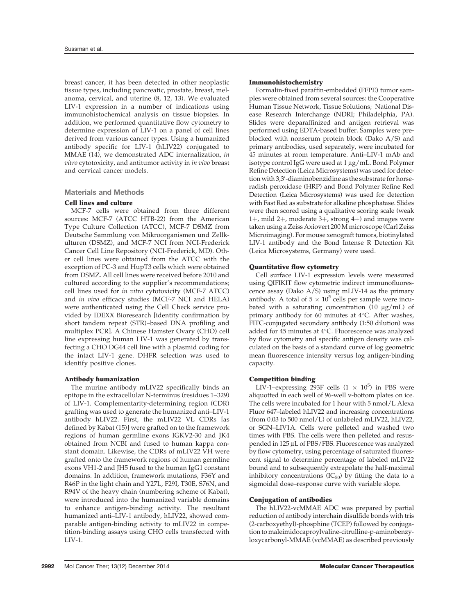breast cancer, it has been detected in other neoplastic tissue types, including pancreatic, prostate, breast, melanoma, cervical, and uterine (8, 12, 13). We evaluated LIV-1 expression in a number of indications using immunohistochemical analysis on tissue biopsies. In addition, we performed quantitative flow cytometry to determine expression of LIV-1 on a panel of cell lines derived from various cancer types. Using a humanized antibody specific for LIV-1 (hLIV22) conjugated to MMAE (14), we demonstrated ADC internalization, in vitro cytotoxicity, and antitumor activity in in vivo breast and cervical cancer models.

Materials and Methods

## Cell lines and culture

MCF-7 cells were obtained from three different sources: MCF-7 (ATCC HTB-22) from the American Type Culture Collection (ATCC), MCF-7 DSMZ from Deutsche Sammlung von Mikroorganismen und Zellkulturen (DSMZ), and MCF-7 NCI from NCI-Frederick Cancer Cell Line Repository (NCI-Frederick, MD). Other cell lines were obtained from the ATCC with the exception of PC-3 and HupT3 cells which were obtained from DSMZ. All cell lines were received before 2010 and cultured according to the supplier's recommendations; cell lines used for in vitro cytotoxicity (MCF-7 ATCC) and in vivo efficacy studies (MCF-7 NCI and HELA) were authenticated using the Cell Check service provided by IDEXX Bioresearch [identity confirmation by short tandem repeat (STR)–based DNA profiling and multiplex PCR]. A Chinese Hamster Ovary (CHO) cell line expressing human LIV-1 was generated by transfecting a CHO DG44 cell line with a plasmid coding for the intact LIV-1 gene. DHFR selection was used to identify positive clones.

## Antibody humanization

The murine antibody mLIV22 specifically binds an epitope in the extracellular N-terminus (residues 1–329) of LIV-1. Complementarity-determining region (CDR) grafting was used to generate the humanized anti–LIV-1 antibody hLIV22. First, the mLIV22 VL CDRs [as defined by Kabat (15)] were grafted on to the framework regions of human germline exons IGKV2-30 and JK4 obtained from NCBI and fused to human kappa constant domain. Likewise, the CDRs of mLIV22 VH were grafted onto the framework regions of human germline exons VH1-2 and JH5 fused to the human IgG1 constant domains. In addition, framework mutations, F36Y and R46P in the light chain and Y27L, F29I, T30E, S76N, and R94V of the heavy chain (numbering scheme of Kabat), were introduced into the humanized variable domains to enhance antigen-binding activity. The resultant humanized anti–LIV-1 antibody, hLIV22, showed comparable antigen-binding activity to mLIV22 in competition-binding assays using CHO cells transfected with LIV-1.

#### Immunohistochemistry

Formalin-fixed paraffin-embedded (FFPE) tumor samples were obtained from several sources: the Cooperative Human Tissue Network, Tissue Solutions; National Disease Research Interchange (NDRI; Philadelphia, PA). Slides were deparaffinized and antigen retrieval was performed using EDTA-based buffer. Samples were preblocked with nonserum protein block (Dako A/S) and primary antibodies, used separately, were incubated for 45 minutes at room temperature. Anti–LIV-1 mAb and isotype control IgG were used at  $1 \mu g/mL$ . Bond Polymer Refine Detection (Leica Microsystems) was used for detection with 3,3'-diaminobenzidine as the substrate for horseradish peroxidase (HRP) and Bond Polymer Refine Red Detection (Leica Microsystems) was used for detection with Fast Red as substrate for alkaline phosphatase. Slides were then scored using a qualitative scoring scale (weak 1+, mild 2+, moderate 3+, strong 4+) and images were taken using a Zeiss Axiovert 200 M microscope (Carl Zeiss Microimaging). For mouse xenograft tumors, biotinylated LIV-1 antibody and the Bond Intense R Detection Kit (Leica Microsystems, Germany) were used.

# Quantitative flow cytometry

Cell surface LIV-1 expression levels were measured using QIFIKIT flow cytometric indirect immunofluorescence assay (Dako A/S) using mLIV-14 as the primary antibody. A total of  $5 \times 10^5$  cells per sample were incubated with a saturating concentration (10  $\mu$ g/mL) of primary antibody for 60 minutes at  $4^{\circ}$ C. After washes, FITC-conjugated secondary antibody (1:50 dilution) was added for 45 minutes at  $4^{\circ}$ C. Fluorescence was analyzed by flow cytometry and specific antigen density was calculated on the basis of a standard curve of log geometric mean fluorescence intensity versus log antigen-binding capacity.

# Competition binding

LIV-1–expressing 293F cells  $(1 \times 10^5)$  in PBS were aliquotted in each well of 96-well v-bottom plates on ice. The cells were incubated for 1 hour with 5 nmol/L Alexa Fluor 647–labeled hLIV22 and increasing concentrations (from 0.03 to 500 nmol/L) of unlabeled mLIV22, hLIV22, or SGN–LIV1A. Cells were pelleted and washed two times with PBS. The cells were then pelleted and resuspended in 125 µL of PBS/FBS. Fluorescence was analyzed by flow cytometry, using percentage of saturated fluorescent signal to determine percentage of labeled mLIV22 bound and to subsequently extrapolate the half-maximal inhibitory concentrations  $(IC_{50})$  by fitting the data to a sigmoidal dose–response curve with variable slope.

# Conjugation of antibodies

The hLIV22-vcMMAE ADC was prepared by partial reduction of antibody interchain disulfide bonds with tris (2-carboxyethyl)-phosphine (TCEP) followed by conjugation to maleimidocaproylvaline-citrulline-p-aminobenzyloxycarbonyl-MMAE (vcMMAE) as described previously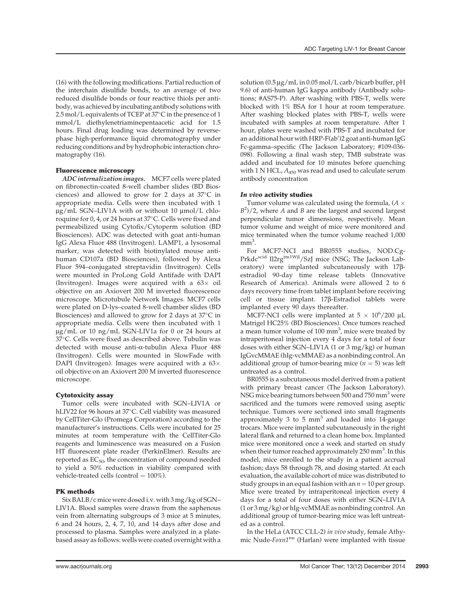(16) with the following modifications. Partial reduction of the interchain disulfide bonds, to an average of two reduced disulfide bonds or four reactive thiols per antibody, was achieved by incubating antibody solutions with 2.5 mol/L equivalents of TCEP at  $37^{\circ}$ C in the presence of 1 mmol/L diethylenetriaminepentaacetic acid for 1.5 hours. Final drug loading was determined by reversephase high-performance liquid chromatography under reducing conditions and by hydrophobic interaction chromatography (16).

## Fluorescence microscopy

ADC internalization images. MCF7 cells were plated on fibronectin-coated 8-well chamber slides (BD Biosciences) and allowed to grow for 2 days at  $37^{\circ}$ C in appropriate media. Cells were then incubated with 1  $\mu$ g/mL SGN–LIV1A with or without 10  $\mu$ mol/L chloroquine for 0, 4, or 24 hours at 37°C. Cells were fixed and permeabilized using Cytofix/Cytoperm solution (BD Biosciences). ADC was detected with goat anti-human IgG Alexa Fluor 488 (Invitrogen). LAMP1, a lysosomal marker, was detected with biotinylated mouse antihuman CD107a (BD Biosciences), followed by Alexa Fluor 594–conjugated streptavidin (Invitrogen). Cells were mounted in ProLong Gold Antifade with DAPI (Invitrogen). Images were acquired with a  $63\times$  oil objective on an Axiovert 200 M inverted fluorescence microscope. Microtubule Network Images. MCF7 cells were plated on D-lys–coated 8-well chamber slides (BD Biosciences) and allowed to grow for 2 days at  $37^{\circ}$ C in appropriate media. Cells were then incubated with 1 mg/mL or 10 ng/mL SGN-LIV1a for 0 or 24 hours at 37°C. Cells were fixed as described above. Tubulin was detected with mouse anti-α-tubulin Alexa Fluor 488 (Invitrogen). Cells were mounted in SlowFade with DAPI (Invitrogen). Images were acquired with a  $63\times$ oil objective on an Axiovert 200 M inverted fluorescence microscope.

## Cytotoxicity assay

Tumor cells were incubated with SGN–LIV1A or hLIV22 for 96 hours at 37°C. Cell viability was measured by CellTiter-Glo (Promega Corporation) according to the manufacturer's instructions. Cells were incubated for 25 minutes at room temperature with the CellTiter-Glo reagents and luminescence was measured on a Fusion HT fluorescent plate reader (PerkinElmer). Results are reported as  $EC_{50}$ , the concentration of compound needed to yield a 50% reduction in viability compared with vehicle-treated cells (control  $= 100\%$ ).

#### PK methods

Six BALB/c mice were dosed i.v. with 3 mg/kg of SGN– LIV1A. Blood samples were drawn from the saphenous vein from alternating subgroups of 3 mice at 5 minutes, 6 and 24 hours, 2, 4, 7, 10, and 14 days after dose and processed to plasma. Samples were analyzed in a platebased assay as follows: wells were coated overnight with a solution (0.5  $\mu$ g/mL in 0.05 mol/L carb/bicarb buffer, pH 9.6) of anti-human IgG kappa antibody (Antibody solutions; #AS75-P). After washing with PBS-T, wells were blocked with 1% BSA for 1 hour at room temperature. After washing blocked plates with PBS-T, wells were incubated with samples at room temperature. After 1 hour, plates were washed with PBS-T and incubated for an additional hour with HRP-F(ab′)2 goat anti-human IgG Fc-gamma–specific (The Jackson Laboratory; #109-036- 098). Following a final wash step, TMB substrate was added and incubated for 10 minutes before quenching with 1 N HCL,  $A_{450}$  was read and used to calculate serum antibody concentration

#### In vivo activity studies

Tumor volume was calculated using the formula,  $(A \times$  $B^2$ /2, where A and B are the largest and second largest perpendicular tumor dimensions, respectively. Mean tumor volume and weight of mice were monitored and mice terminated when the tumor volume reached 1,000  $mm<sup>3</sup>$ .

For MCF7-NCI and BR0555 studies, NOD.Cg-Prkdc<sup>scid</sup> Il2rg<sup>tm1Wjl</sup>/SzJ mice (NSG; The Jackson Laboratory) were implanted subcutaneously with 17bestradiol 90-day time release tablets (Innovative Research of America). Animals were allowed 2 to 6 days recovery time from tablet implant before receiving cell or tissue implant. 17b-Estradiol tablets were implanted every 90 days thereafter.

MCF7-NCI cells were implanted at  $5 \times 10^6 / 200 \mu L$ Matrigel HC25% (BD Biosciences). Once tumors reached a mean tumor volume of  $100 \text{ mm}^3$ , mice were treated by intraperitoneal injection every 4 days for a total of four doses with either SGN–LIV1A (1 or 3 mg/kg) or human IgGvcMMAE (hIg-vcMMAE) as a nonbinding control. An additional group of tumor-bearing mice ( $n = 5$ ) was left untreated as a control.

BR0555 is a subcutaneous model derived from a patient with primary breast cancer (The Jackson Laboratory). NSG mice bearing tumors between 500 and 750 mm<sup>3</sup> were sacrificed and the tumors were removed using aseptic technique. Tumors were sectioned into small fragments approximately 3 to 5  $mm<sup>3</sup>$  and loaded into 14-gauge trocars. Mice were implanted subcutaneously in the right lateral flank and returned to a clean home box. Implanted mice were monitored once a week and started on study when their tumor reached approximately 250 mm<sup>3</sup>. In this model, mice enrolled to the study in a patient accrual fashion; days 58 through 78, and dosing started. At each evaluation, the available cohort of mice was distributed to study groups in an equal fashion with an  $n = 10$  per group. Mice were treated by intraperitoneal injection every 4 days for a total of four doses with either SGN–LIV1A (1 or 3 mg/kg) or hIg-vcMMAE as nonbinding control. An additional group of tumor-bearing mice was left untreated as a control.

In the HeLa (ATCC CLL-2) in vivo study, female Athymic Nude-Foxn1<sup>nu</sup> (Harlan) were implanted with tissue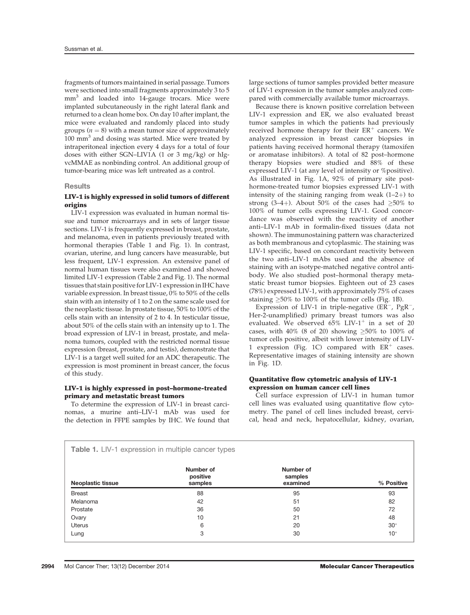fragments of tumors maintained in serial passage. Tumors were sectioned into small fragments approximately 3 to 5 mm<sup>3</sup> and loaded into 14-gauge trocars. Mice were implanted subcutaneously in the right lateral flank and returned to a clean home box. On day 10 after implant, the mice were evaluated and randomly placed into study groups ( $n = 8$ ) with a mean tumor size of approximately 100 mm<sup>3</sup> and dosing was started. Mice were treated by intraperitoneal injection every 4 days for a total of four doses with either SGN–LIV1A (1 or 3 mg/kg) or hIgvcMMAE as nonbinding control. An additional group of tumor-bearing mice was left untreated as a control.

## **Results**

# LIV-1 is highly expressed in solid tumors of different origins

LIV-1 expression was evaluated in human normal tissue and tumor microarrays and in sets of larger tissue sections. LIV-1 is frequently expressed in breast, prostate, and melanoma, even in patients previously treated with hormonal therapies (Table 1 and Fig. 1). In contrast, ovarian, uterine, and lung cancers have measurable, but less frequent, LIV-1 expression. An extensive panel of normal human tissues were also examined and showed limited LIV-1 expression (Table 2 and Fig. 1). The normal tissues that stain positive for LIV-1 expression in IHC have variable expression. In breast tissue, 0% to 50% of the cells stain with an intensity of 1 to 2 on the same scale used for the neoplastic tissue. In prostate tissue, 50% to 100% of the cells stain with an intensity of 2 to 4. In testicular tissue, about 50% of the cells stain with an intensity up to 1. The broad expression of LIV-1 in breast, prostate, and melanoma tumors, coupled with the restricted normal tissue expression (breast, prostate, and testis), demonstrate that LIV-1 is a target well suited for an ADC therapeutic. The expression is most prominent in breast cancer, the focus of this study.

# LIV-1 is highly expressed in post–hormone-treated primary and metastatic breast tumors

To determine the expression of LIV-1 in breast carcinomas, a murine anti–LIV-1 mAb was used for the detection in FFPE samples by IHC. We found that large sections of tumor samples provided better measure of LIV-1 expression in the tumor samples analyzed compared with commercially available tumor microarrays.

Because there is known positive correlation between LIV-1 expression and ER, we also evaluated breast tumor samples in which the patients had previously received hormone therapy for their  $ER^+$  cancers. We analyzed expression in breast cancer biopsies in patients having received hormonal therapy (tamoxifen or aromatase inhibitors). A total of 82 post–hormone therapy biopsies were studied and 88% of these expressed LIV-1 (at any level of intensity or %positive). As illustrated in Fig. 1A, 92% of primary site posthormone-treated tumor biopsies expressed LIV-1 with intensity of the staining ranging from weak  $(1-2+)$  to strong (3–4+). About 50% of the cases had  $\geq 50\%$  to 100% of tumor cells expressing LIV-1. Good concordance was observed with the reactivity of another anti–LIV-1 mAb in formalin-fixed tissues (data not shown). The immunostaining pattern was characterized as both membranous and cytoplasmic. The staining was LIV-1 specific, based on concordant reactivity between the two anti–LIV-1 mAbs used and the absence of staining with an isotype-matched negative control antibody. We also studied post–hormonal therapy metastatic breast tumor biopsies. Eighteen out of 23 cases (78%) expressed LIV-1, with approximately 75% of cases staining  $\geq 50\%$  to 100% of the tumor cells (Fig. 1B).

Expression of LIV-1 in triple-negative  $(ER^{-}, PgR^{-})$ Her-2-unamplified) primary breast tumors was also evaluated. We observed  $65\%$  LIV-1<sup>+</sup> in a set of 20 cases, with 40% (8 of 20) showing  $\geq 50\%$  to 100% of tumor cells positive, albeit with lower intensity of LIV-1 expression (Fig. 1C) compared with  $ER^+$  cases. Representative images of staining intensity are shown in Fig. 1D.

## Quantitative flow cytometric analysis of LIV-1 expression on human cancer cell lines

Cell surface expression of LIV-1 in human tumor cell lines was evaluated using quantitative flow cytometry. The panel of cell lines included breast, cervical, head and neck, hepatocellular, kidney, ovarian,

| Table 1. LIV-1 expression in multiple cancer types |                                  |                                  |            |  |  |
|----------------------------------------------------|----------------------------------|----------------------------------|------------|--|--|
| <b>Neoplastic tissue</b>                           | Number of<br>positive<br>samples | Number of<br>samples<br>examined | % Positive |  |  |
| <b>Breast</b>                                      | 88                               | 95                               | 93         |  |  |
| Melanoma                                           | 42                               | 51                               | 82         |  |  |
| Prostate                                           | 36                               | 50                               | 72         |  |  |
| Ovary                                              | 10                               | 21                               | 48         |  |  |
| <b>Uterus</b>                                      | 6                                | 20                               | $30*$      |  |  |
| Lung                                               | 3                                | 30                               | $10*$      |  |  |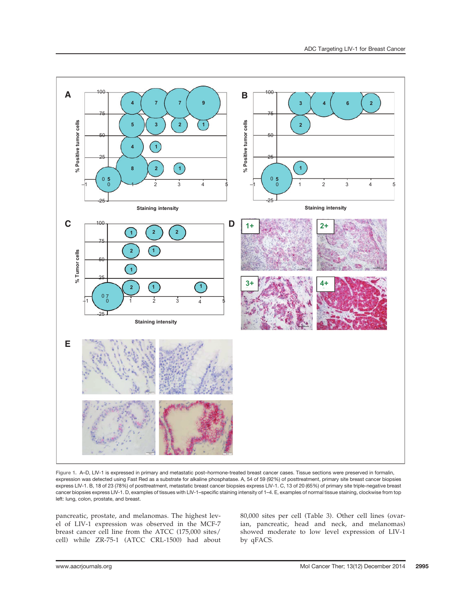

Figure 1. A–D, LIV-1 is expressed in primary and metastatic post–hormone-treated breast cancer cases. Tissue sections were preserved in formalin, expression was detected using Fast Red as a substrate for alkaline phosphatase. A, 54 of 59 (92%) of posttreatment, primary site breast cancer biopsies express LIV-1. B, 18 of 23 (78%) of posttreatment, metastatic breast cancer biopsies express LIV-1. C, 13 of 20 (65%) of primary site triple-negative breast cancer biopsies express LIV-1. D, examples of tissues with LIV-1–specific staining intensity of 1–4. E, examples of normal tissue staining, clockwise from top left: lung, colon, prostate, and breast.

pancreatic, prostate, and melanomas. The highest level of LIV-1 expression was observed in the MCF-7 breast cancer cell line from the ATCC (175,000 sites/ cell) while ZR-75-1 (ATCC CRL-1500) had about 80,000 sites per cell (Table 3). Other cell lines (ovarian, pancreatic, head and neck, and melanomas) showed moderate to low level expression of LIV-1 by qFACS.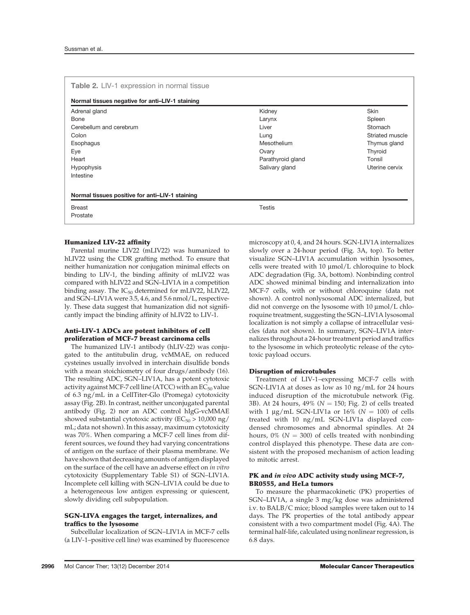| Table 2. LIV-1 expression in normal tissue      |                   |                 |  |  |  |
|-------------------------------------------------|-------------------|-----------------|--|--|--|
| Normal tissues negative for anti-LIV-1 staining |                   |                 |  |  |  |
| Adrenal gland                                   | Kidney            | <b>Skin</b>     |  |  |  |
| Bone                                            | Larynx            | Spleen          |  |  |  |
| Cerebellum and cerebrum                         | Liver             | Stomach         |  |  |  |
| Colon                                           | Lung              | Striated muscle |  |  |  |
| Esophagus                                       | Mesothelium       | Thymus gland    |  |  |  |
| Eye                                             | Ovary             | Thyroid         |  |  |  |
| Heart                                           | Parathyroid gland | Tonsil          |  |  |  |
| <b>Hypophysis</b>                               | Salivary gland    | Uterine cervix  |  |  |  |
| Intestine                                       |                   |                 |  |  |  |
|                                                 |                   |                 |  |  |  |
| Normal tissues positive for anti-LIV-1 staining |                   |                 |  |  |  |
| <b>Breast</b>                                   | <b>Testis</b>     |                 |  |  |  |
| Prostate                                        |                   |                 |  |  |  |

#### Humanized LIV-22 affinity

Parental murine LIV22 (mLIV22) was humanized to hLIV22 using the CDR grafting method. To ensure that neither humanization nor conjugation minimal effects on binding to LIV-1, the binding affinity of mLIV22 was compared with hLIV22 and SGN–LIV1A in a competition binding assay. The  $IC_{50}$  determined for mLIV22, hLIV22, and SGN–LIV1A were 3.5, 4.6, and 5.6 nmol/L, respectively. These data suggest that humanization did not significantly impact the binding affinity of hLIV22 to LIV-1.

# Anti–LIV-1 ADCs are potent inhibitors of cell proliferation of MCF-7 breast carcinoma cells

The humanized LIV-1 antibody (hLIV-22) was conjugated to the antitubulin drug, vcMMAE, on reduced cysteines usually involved in interchain disulfide bonds with a mean stoichiometry of four drugs/antibody (16). The resulting ADC, SGN–LIV1A, has a potent cytotoxic activity against MCF-7 cell line (ATCC) with an  $EC_{50}$  value of 6.3 ng/mL in a CellTiter-Glo (Promega) cytotoxicity assay (Fig. 2B). In contrast, neither unconjugated parental antibody (Fig. 2) nor an ADC control hIgG-vcMMAE showed substantial cytotoxic activity ( $EC_{50}$  > 10,000 ng/ mL; data not shown). In this assay, maximum cytotoxicity was 70%. When comparing a MCF-7 cell lines from different sources, we found they had varying concentrations of antigen on the surface of their plasma membrane. We have shown that decreasing amounts of antigen displayed on the surface of the cell have an adverse effect on in vitro cytotoxicity (Supplementary Table S1) of SGN–LIV1A. Incomplete cell killing with SGN–LIV1A could be due to a heterogeneous low antigen expressing or quiescent, slowly dividing cell subpopulation.

## SGN-LIVA engages the target, internalizes, and traffics to the lysosome

Subcellular localization of SGN–LIV1A in MCF-7 cells (a LIV-1–positive cell line) was examined by fluorescence microscopy at 0, 4, and 24 hours. SGN-LIV1A internalizes slowly over a 24-hour period (Fig. 3A, top). To better visualize SGN–LIV1A accumulation within lysosomes, cells were treated with 10 mmol/L chloroquine to block ADC degradation (Fig. 3A, bottom). Nonbinding control ADC showed minimal binding and internalization into MCF-7 cells, with or without chloroquine (data not shown). A control nonlysosomal ADC internalized, but did not converge on the lysosome with  $10 \mu$ mol/L chloroquine treatment, suggesting the SGN–LIV1A lysosomal localization is not simply a collapse of intracellular vesicles (data not shown). In summary, SGN–LIV1A internalizes throughout a 24-hour treatment period and traffics to the lysosome in which proteolytic release of the cytotoxic payload occurs.

#### Disruption of microtubules

Treatment of LIV-1–expressing MCF-7 cells with SGN-LIV1A at doses as low as 10 ng/mL for 24 hours induced disruption of the microtubule network (Fig. 3B). At 24 hours,  $49\%$  ( $N = 150$ ; Fig. 2) of cells treated with 1  $\mu$ g/mL SGN-LIV1a or 16% (N = 100) of cells treated with 10 ng/mL SGN-LIV1a displayed condensed chromosomes and abnormal spindles. At 24 hours,  $0\%$  (N = 300) of cells treated with nonbinding control displayed this phenotype. These data are consistent with the proposed mechanism of action leading to mitotic arrest.

# PK and *in vivo* ADC activity study using MCF-7, BR0555, and HeLa tumors

To measure the pharmacokinetic (PK) properties of SGN–LIV1A, a single 3 mg/kg dose was administered i.v. to BALB/C mice; blood samples were taken out to 14 days. The PK properties of the total antibody appear consistent with a two compartment model (Fig. 4A). The terminal half-life, calculated using nonlinear regression, is 6.8 days.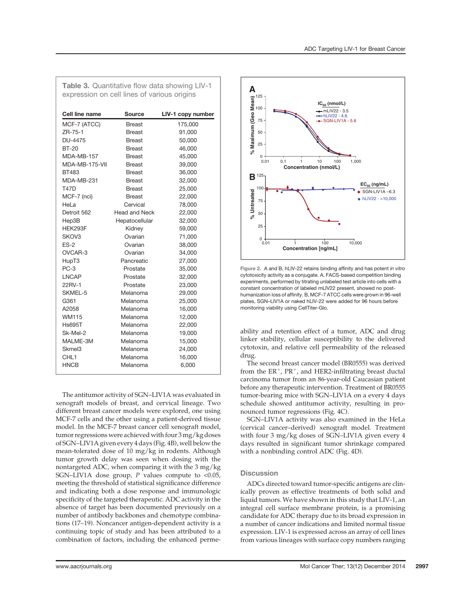| expression on cell lines of various origins |                      |                   |  |  |
|---------------------------------------------|----------------------|-------------------|--|--|
| Cell line name                              | Source               | LIV-1 copy number |  |  |
| MCF-7 (ATCC)                                | <b>Breast</b>        | 175,000           |  |  |
| ZR-75-1                                     | <b>Breast</b>        | 91,000            |  |  |
| DU-4475                                     | <b>Breast</b>        | 50,000            |  |  |
| <b>BT-20</b>                                | <b>Breast</b>        | 46,000            |  |  |
| MDA-MB-157                                  | <b>Breast</b>        | 45,000            |  |  |
| MDA-MB-175-VII                              | <b>Breast</b>        | 39,000            |  |  |
| BT483                                       | <b>Breast</b>        | 36,000            |  |  |
| MDA-MB-231                                  | <b>Breast</b>        | 32,000            |  |  |
| <b>T47D</b>                                 | <b>Breast</b>        | 25,000            |  |  |
| MCF-7 (nci)                                 | <b>Breast</b>        | 22,000            |  |  |
| HeLa                                        | Cervical             | 78,000            |  |  |
| Detroit 562                                 | <b>Head and Neck</b> | 22,000            |  |  |
| Hep3B                                       | Hepatocellular       | 32,000            |  |  |
| HEK293F                                     | Kidney               | 59,000            |  |  |
| SKOV3                                       | Ovarian              | 71,000            |  |  |
| $ES-2$                                      | Ovarian              | 38,000            |  |  |
| OVCAR-3                                     | Ovarian              | 34,000            |  |  |
| HupT3                                       | Pancreatic           | 27,000            |  |  |
| $PC-3$                                      | Prostate             | 35,000            |  |  |
| <b>LNCAP</b>                                | Prostate             | 32,000            |  |  |
| 22RV-1                                      | Prostate             | 23,000            |  |  |
| SKMEL-5                                     | Melanoma             | 29,000            |  |  |
| G361                                        | Melanoma             | 25,000            |  |  |
| A2058                                       | Melanoma             | 16,000            |  |  |
| <b>WM115</b>                                | Melanoma             | 12,000            |  |  |
| <b>Hs695T</b>                               | Melanoma             | 22,000            |  |  |
| Sk-Mel-2                                    | Melanoma             | 19,000            |  |  |
| MALME-3M                                    | Melanoma             | 15,000            |  |  |
| Skmel3                                      | Melanoma             | 24,000            |  |  |
| CHL <sub>1</sub>                            | Melanoma             | 16,000            |  |  |
| <b>HNCB</b>                                 | Melanoma             | 6,000             |  |  |

Table 3. Quantitative flow data showing LIV-1

The antitumor activity of SGN–LIV1A was evaluated in xenograft models of breast, and cervical lineage. Two different breast cancer models were explored, one using MCF-7 cells and the other using a patient-derived tissue model. In the MCF-7 breast cancer cell xenograft model, tumor regressions were achieved with four 3 mg/kg doses of SGN–LIV1A given every 4 days (Fig. 4B), well below the mean-tolerated dose of 10 mg/kg in rodents. Although tumor growth delay was seen when dosing with the nontargeted ADC, when comparing it with the 3 mg/kg SGN–LIV1A dose group,  $P$  values compute to <0.05, meeting the threshold of statistical significance difference and indicating both a dose response and immunologic specificity of the targeted therapeutic. ADC activity in the absence of target has been documented previously on a number of antibody backbones and chemotype combinations (17–19). Noncancer antigen-dependent activity is a continuing topic of study and has been attributed to a combination of factors, including the enhanced perme-



Figure 2. A and B, hLIV-22 retains binding affinity and has potent in vitro cytotoxicity activity as a conjugate. A, FACS-based competition binding experiments, performed by titrating unlabeled test article into cells with a constant concentration of labeled mLIV22 present, showed no posthumanization loss of affinity. B, MCF-7 ATCC cells were grown in 96-well plates, SGN–LIV1A or naked hLIV-22 were added for 96 hours before monitoring viability using CellTiter-Glo.

ability and retention effect of a tumor, ADC and drug linker stability, cellular susceptibility to the delivered cytotoxin, and relative cell permeability of the released drug.

The second breast cancer model (BR0555) was derived from the  $ER^+$ ,  $PR^+$ , and HER2-infiltrating breast ductal carcinoma tumor from an 86-year-old Caucasian patient before any therapeutic intervention. Treatment of BR0555 tumor-bearing mice with SGN–LIV1A on a every 4 days schedule showed antitumor activity, resulting in pronounced tumor regressions (Fig. 4C).

SGN–LIV1A activity was also examined in the HeLa (cervical cancer–derived) xenograft model. Treatment with four 3 mg/kg doses of SGN–LIV1A given every 4 days resulted in significant tumor shrinkage compared with a nonbinding control ADC (Fig. 4D).

# **Discussion**

ADCs directed toward tumor-specific antigens are clinically proven as effective treatments of both solid and liquid tumors. We have shown in this study that LIV-1, an integral cell surface membrane protein, is a promising candidate for ADC therapy due to its broad expression in a number of cancer indications and limited normal tissue expression. LIV-1 is expressed across an array of cell lines from various lineages with surface copy numbers ranging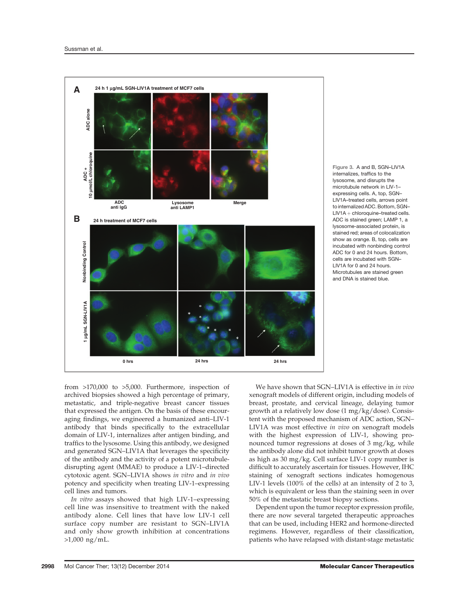

Figure 3. A and B, SGN–LIV1A internalizes, traffics to the lysosome, and disrupts the microtubule network in LIV-1– expressing cells. A, top, SGN– LIV1A–treated cells, arrows point to internalized ADC. Bottom, SGN–  $LIV1A + chloroquine-treated cells.$ ADC is stained green; LAMP 1, a lysosome-associated protein, is stained red; areas of colocalization show as orange. B, top, cells are incubated with nonbinding control ADC for 0 and 24 hours. Bottom, cells are incubated with SGN– LIV1A for 0 and 24 hours. Microtubules are stained green and DNA is stained blue.

from >170,000 to >5,000. Furthermore, inspection of archived biopsies showed a high percentage of primary, metastatic, and triple-negative breast cancer tissues that expressed the antigen. On the basis of these encouraging findings, we engineered a humanized anti–LIV-1 antibody that binds specifically to the extracellular domain of LIV-1, internalizes after antigen binding, and traffics to the lysosome. Using this antibody, we designed and generated SGN–LIV1A that leverages the specificity of the antibody and the activity of a potent microtubuledisrupting agent (MMAE) to produce a LIV-1–directed cytotoxic agent. SGN–LIV1A shows in vitro and in vivo potency and specificity when treating LIV-1–expressing cell lines and tumors.

In vitro assays showed that high LIV-1–expressing cell line was insensitive to treatment with the naked antibody alone. Cell lines that have low LIV-1 cell surface copy number are resistant to SGN–LIV1A and only show growth inhibition at concentrations >1,000 ng/mL.

We have shown that SGN-LIV1A is effective in in vivo xenograft models of different origin, including models of breast, prostate, and cervical lineage, delaying tumor growth at a relatively low dose (1 mg/kg/dose). Consistent with the proposed mechanism of ADC action, SGN– LIV1A was most effective in vivo on xenograft models with the highest expression of LIV-1, showing pronounced tumor regressions at doses of 3 mg/kg, while the antibody alone did not inhibit tumor growth at doses as high as 30 mg/kg. Cell surface LIV-1 copy number is difficult to accurately ascertain for tissues. However, IHC staining of xenograft sections indicates homogenous LIV-1 levels (100% of the cells) at an intensity of 2 to 3, which is equivalent or less than the staining seen in over 50% of the metastatic breast biopsy sections.

Dependent upon the tumor receptor expression profile, there are now several targeted therapeutic approaches that can be used, including HER2 and hormone-directed regimens. However, regardless of their classification, patients who have relapsed with distant-stage metastatic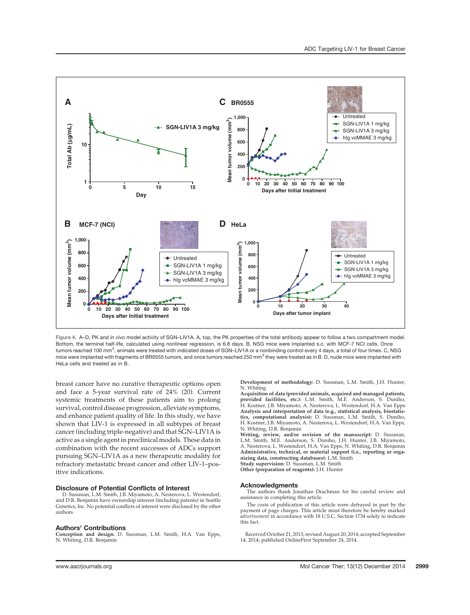

Figure 4. A–D, PK and in vivo model activity of SGN–LIV1A. A, top, the PK properties of the total antibody appear to follow a two compartment model. Bottom, the terminal half-life, calculated using nonlinear regression, is 6.8 days. B, NSG mice were implanted s.c. with MCF-7 NCI cells. Once tumors reached 100 mm $^3$ , animals were treated with indicated doses of SGN–LIV1A or a nonbinding control every 4 days, a total of four times. C, NSG mice were implanted with fragments of BR0555 tumors, and once tumors reached 250 mm<sup>3</sup> they were treated as in B. D, nude mice were implanted with HeLa cells and treated as in B.

breast cancer have no curative therapeutic options open and face a 5-year survival rate of 24% (20). Current systemic treatments of these patients aim to prolong survival, control disease progression, alleviate symptoms, and enhance patient quality of life. In this study, we have shown that LIV-1 is expressed in all subtypes of breast cancer (including triple-negative) and that SGN–LIV1A is active as a single agent in preclinical models. These data in combination with the recent successes of ADCs support pursuing SGN–LIV1A as a new therapeutic modality for refractory metastatic breast cancer and other LIV-1–positive indications.

#### Disclosure of Potential Conflicts of Interest

D. Sussman, L.M. Smith, J.B. Miyamoto, A. Nesterova, L. Westendorf, and D.R. Benjamin have ownership interest (including patents) in Seattle Genetics, Inc. No potential conflicts of interest were disclosed by the other authors.

#### Authors' Contributions

Conception and design: D. Sussman, L.M. Smith, H.A. Van Epps, N. Whiting, D.R. Benjamin

Development of methodology: D. Sussman, L.M. Smith, J.H. Hunter, N. Whiting

Acquisition of data (provided animals, acquired and managed patients, provided facilities, etc.): L.M. Smith, M.E. Anderson, S. Duniho, H. Kostner, J.B. Miyamoto, A. Nesterova, L. Westendorf, H.A. Van Epps Analysis and interpretation of data (e.g., statistical analysis, biostatistics, computational analysis): D. Sussman, L.M. Smith, S. Duniho, H. Kostner, J.B. Miyamoto, A. Nesterova, L. Westendorf, H.A. Van Epps, N. Whiting, D.R. Benjamin

Writing, review, and/or revision of the manuscript: D. Sussman, L.M. Smith, M.E. Anderson, S. Duniho, J.H. Hunter, J.B. Miyamoto, A. Nesterova, L. Westendorf, H.A. Van Epps, N. Whiting, D.R. Benjamin Administrative, technical, or material support (i.e., reporting or orga-nizing data, constructing databases): L.M. Smith

Study supervision: D. Sussman, L.M. Smith Other (preparation of reagents): J.H. Hunter

#### Acknowledgments

The authors thank Jonathan Drachman for his careful review and assistance in completing this article.

The costs of publication of this article were defrayed in part by the payment of page charges. This article must therefore be hereby marked advertisement in accordance with 18 U.S.C. Section 1734 solely to indicate this fact.

Received October 21, 2013; revised August 20, 2014; accepted September 14, 2014; published OnlineFirst September 24, 2014.